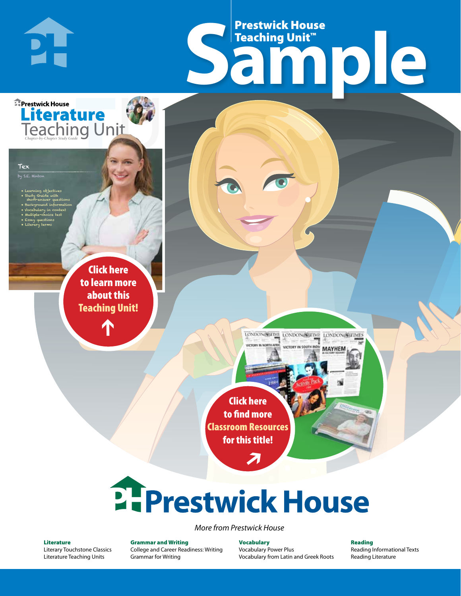## Frestwick House<br>
Sample **Prestwick House**<br>Teaching Unit™ Teaching Unit™

LONDON-SCITME LONDON/SCITME LONDON/SCITMES

MAYHEM

r e o r d e r n o . x x x x x x Click here to learn more about this [Teaching Unit!](https://www.prestwickhouse.com/book/id-301104/Tex_-_Teaching_Unit)

**A Tale of Two Cities**

**Literature** 

CHARLES DICKENS

• Learning objectives • Study Guide with short-answer questions • Background information • Vocabulary in context • Multiple-choice test • Essay questions • Literary terms

**PH** 

**E** Prestwick House

Tex by S.E. Hinton

 $\mathbf{T}$ 

1

Click here to find more [Classroom Resources](http://teaching-english.prestwickhouse.com/search?w=tex)  for this title!

 $\overline{\boldsymbol{\lambda}}$ 

# 2. Prestwick House

*More from Prestwick House*

#### Literature

[Literary Touchstone Classics](https://www.prestwickhouse.com/literary-touchstone-classics) [Literature Teaching Units](https://www.prestwickhouse.com/teaching-units)

Grammar and Writing [College and Career Readiness: Writing](https://www.prestwickhouse.com/college-and-career-readiness-writing) [Grammar for Writing](https://www.prestwickhouse.com/book/id-302639/Grammar_for_Writing_-_30_Books_and_Teachers_Edition)

**Vocabulary** [Vocabulary Power Plus](https://www.prestwickhouse.com/vocabulary-power-plus-for-college-and-career-readiness) [Vocabulary from Latin and Greek Roots](https://www.prestwickhouse.com/vocabulary-from-latin-and-greek-roots) Reading

[Reading Informational Texts](https://www.prestwickhouse.com/reading-informational-texts) [Reading Literature](https://www.prestwickhouse.com/reading-literature)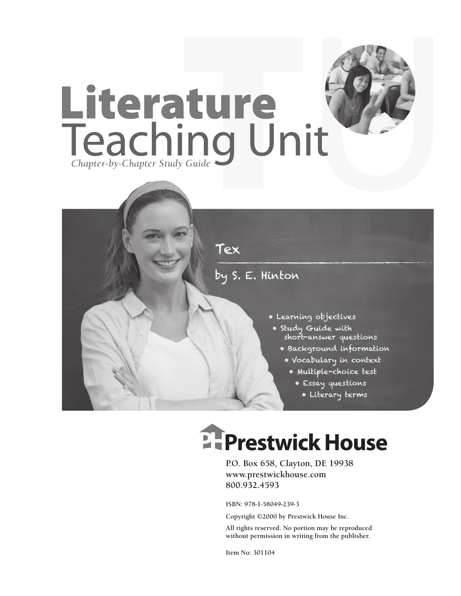



## **EFPrestwick House**

**P.O. Box 658, Clayton, DE 19938 www.prestwickhouse.com 800.932.4593**

**ISBN: 978-1-58049-239-3**

**Copyright ©2000 by Prestwick House Inc.**

**All rights reserved. No portion may be reproduced without permission in writing from the publisher.** 

**Item No: 301104**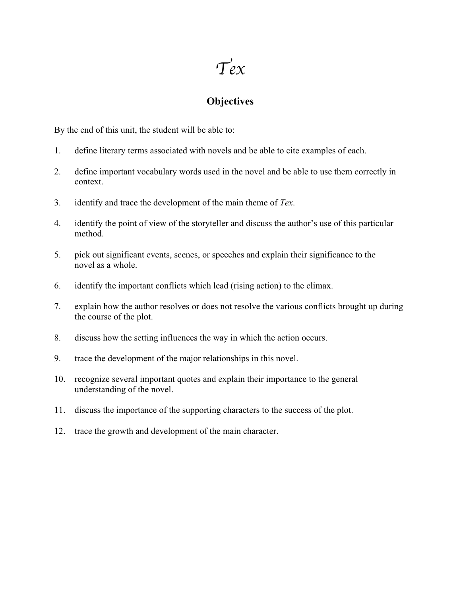$Tex$ 

#### **Objectives**

By the end of this unit, the student will be able to:

- 1. define literary terms associated with novels and be able to cite examples of each.
- 2. define important vocabulary words used in the novel and be able to use them correctly in context.
- 3. identify and trace the development of the main theme of *Tex*.
- 4. identify the point of view of the storyteller and discuss the author's use of this particular method.
- 5. pick out significant events, scenes, or speeches and explain their significance to the novel as a whole.
- 6. identify the important conflicts which lead (rising action) to the climax.
- 7. explain how the author resolves or does not resolve the various conflicts brought up during the course of the plot.
- 8. discuss how the setting influences the way in which the action occurs.
- 9. trace the development of the major relationships in this novel.
- 10. recognize several important quotes and explain their importance to the general understanding of the novel.
- 11. discuss the importance of the supporting characters to the success of the plot.
- 12. trace the growth and development of the main character.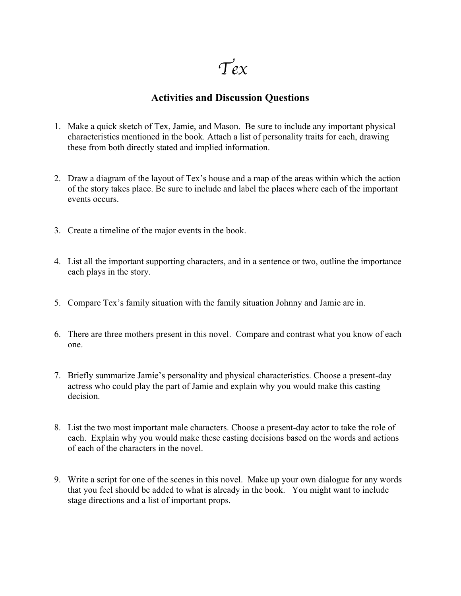$T_{ex}$ 

#### **Activities and Discussion Questions**

- 1. Make a quick sketch of Tex, Jamie, and Mason. Be sure to include any important physical characteristics mentioned in the book. Attach a list of personality traits for each, drawing these from both directly stated and implied information.
- 2. Draw a diagram of the layout of Tex's house and a map of the areas within which the action of the story takes place. Be sure to include and label the places where each of the important events occurs.
- 3. Create a timeline of the major events in the book.
- 4. List all the important supporting characters, and in a sentence or two, outline the importance each plays in the story.
- 5. Compare Tex's family situation with the family situation Johnny and Jamie are in.
- 6. There are three mothers present in this novel. Compare and contrast what you know of each one.
- 7. Briefly summarize Jamie's personality and physical characteristics. Choose a present-day actress who could play the part of Jamie and explain why you would make this casting decision.
- 8. List the two most important male characters. Choose a present-day actor to take the role of each. Explain why you would make these casting decisions based on the words and actions of each of the characters in the novel.
- 9. Write a script for one of the scenes in this novel. Make up your own dialogue for any words that you feel should be added to what is already in the book. You might want to include stage directions and a list of important props.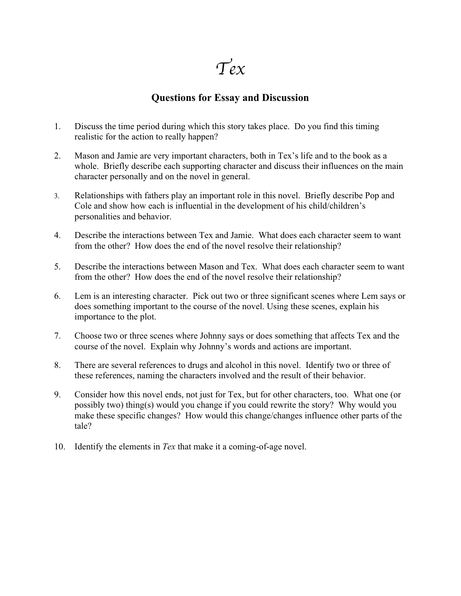$T_{ex}$ 

#### **Questions for Essay and Discussion**

- 1. Discuss the time period during which this story takes place. Do you find this timing realistic for the action to really happen?
- 2. Mason and Jamie are very important characters, both in Tex's life and to the book as a whole. Briefly describe each supporting character and discuss their influences on the main character personally and on the novel in general.
- 3. Relationships with fathers play an important role in this novel. Briefly describe Pop and Cole and show how each is influential in the development of his child/children's personalities and behavior.
- 4. Describe the interactions between Tex and Jamie. What does each character seem to want from the other? How does the end of the novel resolve their relationship?
- 5. Describe the interactions between Mason and Tex. What does each character seem to want from the other? How does the end of the novel resolve their relationship?
- 6. Lem is an interesting character. Pick out two or three significant scenes where Lem says or does something important to the course of the novel. Using these scenes, explain his importance to the plot.
- 7. Choose two or three scenes where Johnny says or does something that affects Tex and the course of the novel. Explain why Johnny's words and actions are important.
- 8. There are several references to drugs and alcohol in this novel. Identify two or three of these references, naming the characters involved and the result of their behavior.
- 9. Consider how this novel ends, not just for Tex, but for other characters, too. What one (or possibly two) thing(s) would you change if you could rewrite the story? Why would you make these specific changes? How would this change/changes influence other parts of the tale?
- 10. Identify the elements in *Tex* that make it a coming-of-age novel.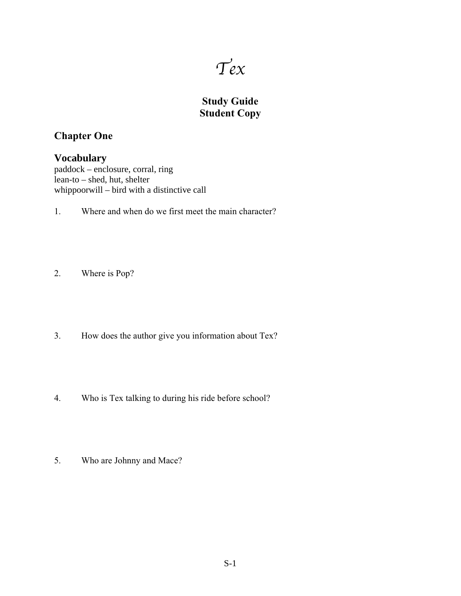

### **Study Guide Student Copy**

#### **Chapter One**

#### **Vocabulary**

paddock – enclosure, corral, ring lean-to – shed, hut, shelter whippoorwill – bird with a distinctive call

- 1. Where and when do we first meet the main character?
- 2. Where is Pop?
- 3. How does the author give you information about Tex?
- 4. Who is Tex talking to during his ride before school?
- 5. Who are Johnny and Mace?